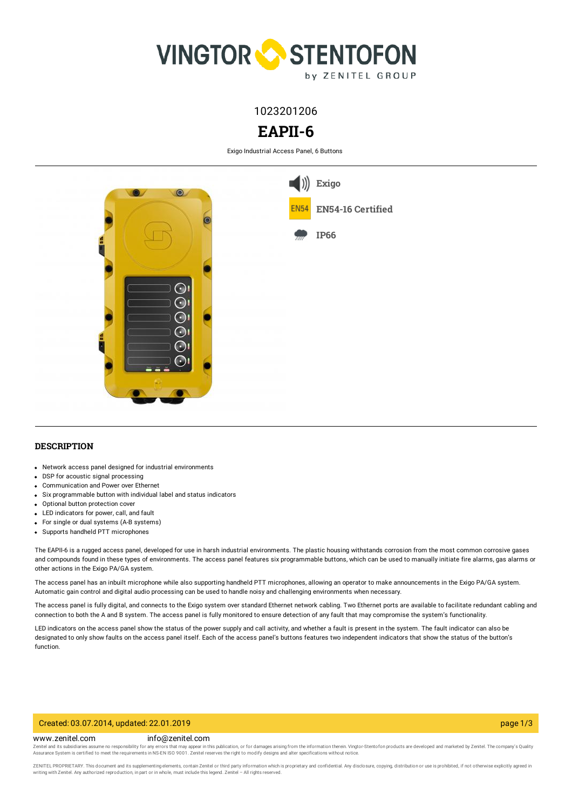

1023201206

# **EAPII-6**

Exigo Industrial Access Panel, 6 Buttons



## **DESCRIPTION**

- Network access panel designed for industrial environments
- DSP for acoustic signal processing
- Communication and Power over Ethernet
- Six programmable button with individual label and status indicators
- Optional button protection cover
- LED indicators for power, call, and fault
- For single or dual systems (A-B systems)
- Supports handheld PTT microphones

The EAPII-6 is a rugged access panel, developed for use in harsh industrial environments. The plastic housing withstands corrosion from the most common corrosive gases and compounds found in these types of environments. The access panel features six programmable buttons, which can be used to manually initiate fire alarms, gas alarms or other actions in the Exigo PA/GA system.

The access panel has an inbuilt microphone while also supporting handheld PTT microphones, allowing an operator to make announcements in the Exigo PA/GA system. Automatic gain control and digital audio processing can be used to handle noisy and challenging environments when necessary.

The access panel is fully digital, and connects to the Exigo system over standard Ethernet network cabling. Two Ethernet ports are available to facilitate redundant cabling and connection to both the A and B system. The access panel is fully monitored to ensure detection of any fault that may compromise the system's functionality.

LED indicators on the access panel show the status of the power supply and call activity, and whether a fault is present in the system. The fault indicator can also be designated to only show faults on the access panel itself. Each of the access panel's buttons features two independent indicators that show the status of the button's function.

#### Created: 03.07.2014, updated: 22.01.2019 page 1/3

#### www.zenitel.com info@zenitel.com

Zenitel and its subsidiaries assume no responsibility for any errors that may appear in this publication, or for damages arising from the information therein. Vingtor-Stentofon products are developed and marketed by Zenite

ZENITEL PROPRIETARY. This document and its supplementing elements, contain Zenitel or third party information which is proprietary and confidential. Any disclosure, copying, distribution or use is prohibited, if not otherw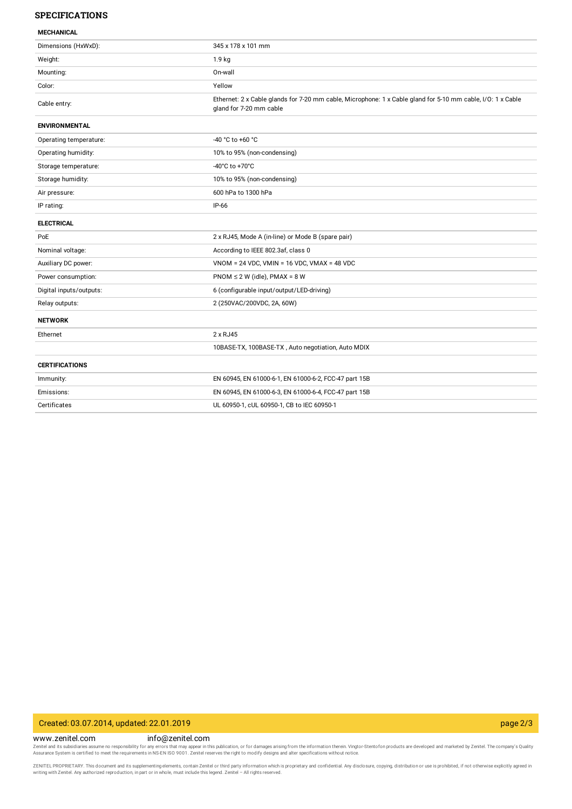### **SPECIFICATIONS**

| Dimensions (HxWxD):     | 345 x 178 x 101 mm                                                                                                                     |
|-------------------------|----------------------------------------------------------------------------------------------------------------------------------------|
| Weight:                 | 1.9 <sub>kg</sub>                                                                                                                      |
| Mounting:               | On-wall                                                                                                                                |
| Color:                  | Yellow                                                                                                                                 |
| Cable entry:            | Ethernet: 2 x Cable glands for 7-20 mm cable, Microphone: 1 x Cable gland for 5-10 mm cable, I/O: 1 x Cable<br>gland for 7-20 mm cable |
| <b>ENVIRONMENTAL</b>    |                                                                                                                                        |
| Operating temperature:  | $-40 °C$ to $+60 °C$                                                                                                                   |
| Operating humidity:     | 10% to 95% (non-condensing)                                                                                                            |
| Storage temperature:    | -40°C to +70°C                                                                                                                         |
| Storage humidity:       | 10% to 95% (non-condensing)                                                                                                            |
| Air pressure:           | 600 hPa to 1300 hPa                                                                                                                    |
| IP rating:              | $IP-66$                                                                                                                                |
| <b>ELECTRICAL</b>       |                                                                                                                                        |
| PoE                     | 2 x RJ45, Mode A (in-line) or Mode B (spare pair)                                                                                      |
| Nominal voltage:        | According to IEEE 802.3af, class 0                                                                                                     |
| Auxiliary DC power:     | $VNOM = 24 VDC$ , $VMIN = 16 VDC$ , $VMAX = 48 VDC$                                                                                    |
| Power consumption:      | PNOM $\leq$ 2 W (idle), PMAX = 8 W                                                                                                     |
| Digital inputs/outputs: | 6 (configurable input/output/LED-driving)                                                                                              |
| Relay outputs:          | 2 (250VAC/200VDC, 2A, 60W)                                                                                                             |
| <b>NETWORK</b>          |                                                                                                                                        |
| Ethernet                | 2 x RJ45                                                                                                                               |
|                         | 10BASE-TX, 100BASE-TX, Auto negotiation, Auto MDIX                                                                                     |
| <b>CERTIFICATIONS</b>   |                                                                                                                                        |
| Immunity:               | EN 60945, EN 61000-6-1, EN 61000-6-2, FCC-47 part 15B                                                                                  |
| Emissions:              | EN 60945, EN 61000-6-3, EN 61000-6-4, FCC-47 part 15B                                                                                  |
| Certificates            | UL 60950-1, cUL 60950-1, CB to IEC 60950-1                                                                                             |

## Created: 03.07.2014, updated: 22.01.2019 page 2/3

www.zenitel.com info@zenitel.com

Zenitel and its subsidiaries assume no responsibility for any errors that may appear in this publication, or for damages arising from the information therein. Vingtor-Stentofon products are developed and marketed by Zenite

ZENITEL PROPRIETARY. This document and its supplementing elements, contain Zenitel or third party information which is proprietary and confidential. Any disclosure, copying, distribution or use is prohibited, if not otherw